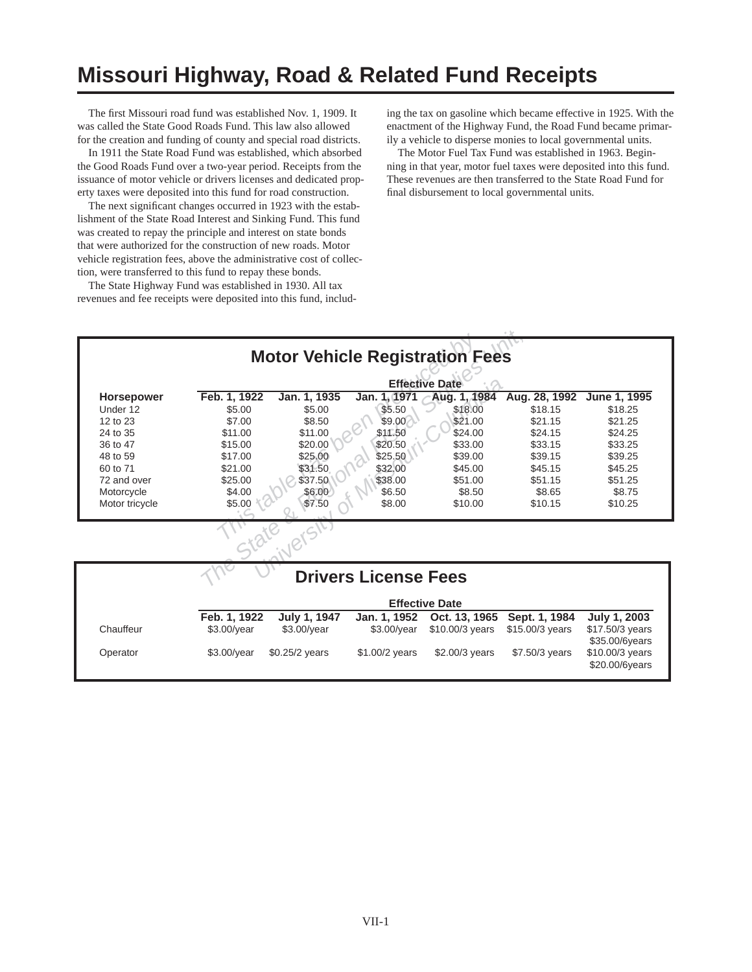## **Missouri Highway, Road & Related Fund Receipts**

The first Missouri road fund was established Nov. 1, 1909. It was called the State Good Roads Fund. This law also allowed for the creation and funding of county and special road districts.

In 1911 the State Road Fund was established, which absorbed the Good Roads Fund over a two-year period. Receipts from the issuance of motor vehicle or drivers licenses and dedicated property taxes were deposited into this fund for road construction.

The next significant changes occurred in 1923 with the establishment of the State Road Interest and Sinking Fund. This fund was created to repay the principle and interest on state bonds that were authorized for the construction of new roads. Motor vehicle registration fees, above the administrative cost of collection, were transferred to this fund to repay these bonds.

The State Highway Fund was established in 1930. All tax revenues and fee receipts were deposited into this fund, including the tax on gasoline which became effective in 1925. With the enactment of the Highway Fund, the Road Fund became primarily a vehicle to disperse monies to local governmental units.

The Motor Fuel Tax Fund was established in 1963. Beginning in that year, motor fuel taxes were deposited into this fund. These revenues are then transferred to the State Road Fund for final disbursement to local governmental units.

|                   |              |                |                             | <b>Motor Vehicle Registration Fees</b> |                 |                                   |
|-------------------|--------------|----------------|-----------------------------|----------------------------------------|-----------------|-----------------------------------|
|                   |              |                |                             | <b>Effective Date</b>                  |                 |                                   |
| <b>Horsepower</b> | Feb. 1, 1922 | Jan. 1, 1935   | Jan. 1, 1971                | Aug. 1, 1984                           | Aug. 28, 1992   | June 1, 1995                      |
| Under 12          | \$5.00       | \$5.00         | \$5.50                      | \$18.00                                | \$18.15         | \$18.25                           |
| 12 to 23          | \$7.00       | \$8.50         | \$9.00                      | \$21.00                                | \$21.15         | \$21.25                           |
| 24 to 35          | \$11.00      | \$11.00        | \$11.50                     | \$24.00                                | \$24.15         | \$24.25                           |
| 36 to 47          | \$15.00      | \$20.00        | \$20.50                     | \$33.00                                | \$33.15         | \$33.25                           |
| 48 to 59          | \$17.00      | \$25.00        | \$25.50                     | \$39.00                                | \$39.15         | \$39.25                           |
| 60 to 71          | \$21.00      | \$31.50        | \$32.00                     | \$45.00                                | \$45.15         | \$45.25                           |
| 72 and over       | \$25.00      | \$37.50        | \$38.00                     | \$51.00                                | \$51.15         | \$51.25                           |
| Motorcycle        | \$4.00       | \$6.00         | \$6.50                      | \$8.50                                 | \$8.65          | \$8.75                            |
| Motor tricycle    | \$5.00       | \$7.50         | \$8.00                      | \$10.00                                | \$10.15         | \$10.25                           |
|                   |              |                |                             |                                        |                 |                                   |
|                   |              |                | <b>Drivers License Fees</b> |                                        |                 |                                   |
|                   |              |                |                             | <b>Effective Date</b>                  |                 |                                   |
|                   | Feb. 1, 1922 | July 1, 1947   | Jan. 1, 1952                | Oct. 13, 1965                          | Sept. 1, 1984   | July 1, 2003                      |
| Chauffeur         | \$3.00/year  | \$3.00/year    | \$3.00/year                 | \$10.00/3 years                        | \$15.00/3 years | \$17.50/3 years<br>\$35.00/6years |
| Operator          | \$3.00/year  | \$0.25/2 years | \$1.00/2 years              | \$2.00/3 years                         | \$7.50/3 years  | \$10.00/3 years<br>\$20.00/6years |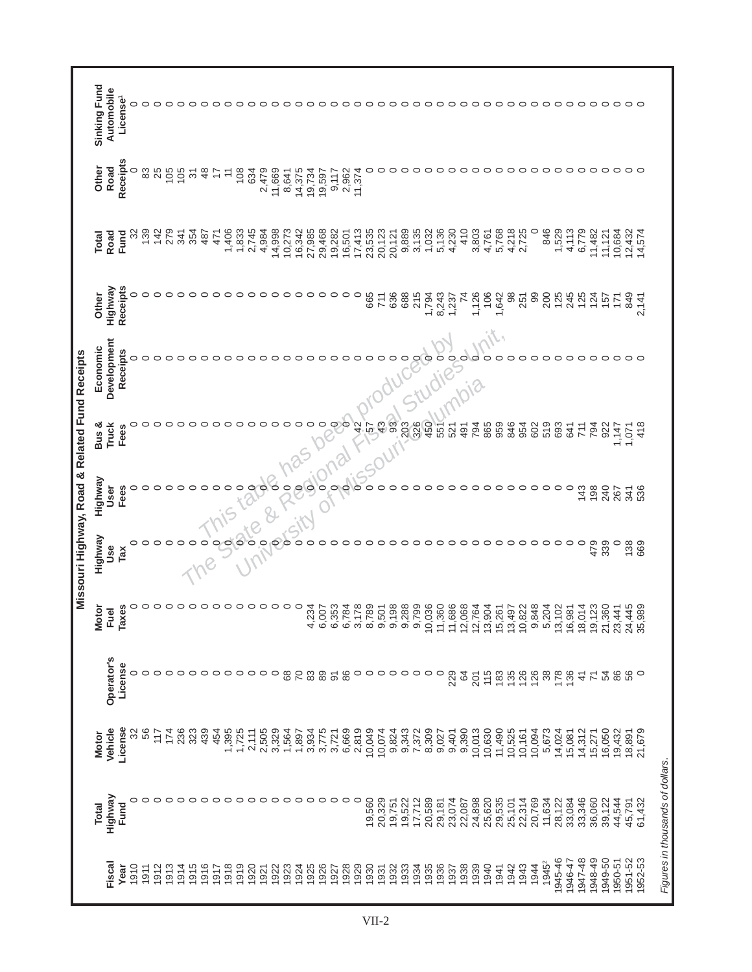|                                                | Sinking Fund | Automobile<br>License <sup>1</sup> | 0       | $\circ$ | $\circ$         | ○       | $\circ$ | ○              | ◠               | ◠       | ⌒       | റ          | ⌒                  | ⌒       | ◠       | ◠       | ◠               |         |         |                     | 000000  |                    |         |         |         |         |        |         | 00000000000000000000000 |                |         |         |        |                                 |         |         |                   |         |         |               |                |         |         |              |         |
|------------------------------------------------|--------------|------------------------------------|---------|---------|-----------------|---------|---------|----------------|-----------------|---------|---------|------------|--------------------|---------|---------|---------|-----------------|---------|---------|---------------------|---------|--------------------|---------|---------|---------|---------|--------|---------|-------------------------|----------------|---------|---------|--------|---------------------------------|---------|---------|-------------------|---------|---------|---------------|----------------|---------|---------|--------------|---------|
|                                                | Other        | Receipts<br>Road                   | 0       | 83      | 25              | 105     | 105     | $\overline{5}$ | $\frac{8}{3}$   |         | F       | 108        | 634                | 2,479   | 11,669  | 8,641   | 14,375          | 19,734  | 19,597  | 9,117               | 2,962   | 11,374             |         |         |         |         |        |         |                         | ⌒              | ⌒       | $\circ$ |        |                                 |         |         |                   |         |         |               |                |         |         | 000000000000 |         |
|                                                | Total        | Road<br>Fund                       | 32      | 139     | 142             | 279     | 341     | 354            | 487             | 471     | 1,406   | 1,833      | 2,745              | 4,984   | 14,998  | 10,273  | 16,342          | 27,985  | 29,468  | 19,282              | 16,501  | $17,413$<br>23,535 |         | 20,123  | 20,121  | 9,889   | 3,135  | 1,032   | 5,136<br>4,230          | 410            | 3,803   | 4,761   | 5,768  | 4,218                           | 2,725   | $\circ$ | 846               | 1,529   | 4,113   | 6,779         | 11,482         | 11,121  | 10,684  | 12,432       | 14,574  |
|                                                | Other        | Receipts<br>Highway                |         | $\circ$ | $\circ$         | $\circ$ | $\circ$ | $\circ$        | $\circ$         | $\circ$ | $\circ$ | $\circ$    | $\circ$            | $\circ$ | $\circ$ | $\circ$ | $\circ$ $\circ$ |         |         | $\circ \circ \circ$ |         | $\circ$            | 665     | 711     | 636     | 688     | 215    | 1,794   | 8,243<br>1,237          | $\overline{7}$ | 1,126   | 106     | 1,642  | $\frac{8}{3}$                   | 251     | 99      | 200               | 125     | 245     | 125           | 124            | 157     | 171     | 849          | 2,141   |
| Missouri Highway, Road & Related Fund Receipts | Economic     | Development<br>Receipts            |         |         |                 |         |         |                |                 |         | ⌒       |            |                    |         |         |         |                 |         |         |                     |         |                    |         |         |         |         |        | $\circ$ | O<br>O                  | $\circ$        | $\circ$ | ◠       |        |                                 |         |         |                   | ○       | ◠       | ○             | ⊂              | っ       | ○       | $\circ$      | ⊂       |
|                                                | Bus &        | <b>Truck</b><br>Fees               | 0       |         | ○               | ○       | $\circ$ |                | $\circ$         |         | ○       | ○          | $\circ$            | ○       | ○       | ○       | ○               | っ       | っ       | $\circ$             | $\circ$ | 42                 | 57      | 43      | 93      | 203     | 326    | 450     | 551<br>521              | 491            | 794     | 865     | 959    | 846                             | 954     | 602     | 519               | 693     | 641     | 711           | 794            | 922     | 1,147   | 1,071        | 418     |
|                                                | Highway      | Fees<br>User                       | 0       | $\circ$ | $\circ$         | $\circ$ | $\circ$ |                |                 | $\circ$ | $\circ$ | $\circ$    | O                  | $\circ$ | $\circ$ | O       | 0               | $\circ$ | $\circ$ | $\circ$             | $\circ$ | $\circ$            | $\circ$ | $\circ$ |         |         |        | ○       | $\circ$<br>$\circ$      | $\circ$        |         |         |        | $\circ$                         | $\circ$ | $\circ$ | $\circ$           | $\circ$ | $\circ$ | 143           | 198            | 240     | 267     | 341          | 536     |
|                                                | Highway      | Use<br>TaX                         | 0       | $\circ$ | $\circ$         | $\circ$ | $\circ$ | $\circ$        | $\circ$         |         | $\circ$ | $\epsilon$ | $\frac{1}{\sigma}$ | $\circ$ | $\circ$ | $\circ$ | $\circ$         | $\circ$ | 0       | $\circ$             | $\circ$ | $\circ$            | $\circ$ | $\circ$ | $\circ$ | ○       | ○      | ○       | $\circ$<br>$\circ$      | $\circ$        | $\circ$ | $\circ$ |        | $\circ \circ \circ \circ \circ$ |         |         |                   | $\circ$ | $\circ$ | $\circ$       | 479            | 339     | $\circ$ | 138          | 669     |
|                                                | <b>Motor</b> | Taxes<br>Fuel                      | 0       | $\circ$ | $\circ$         | $\circ$ | $\circ$ | $\circ$        | $\circ$         | $\circ$ | っ       | っ          | $\circ$            | $\circ$ | $\circ$ | $\circ$ | $\circ$         | 4,234   | 6,007   | 6,353               | 6,784   | 3,178              | 8,789   | 9,501   | 9,198   | 9,288   | 9,799  | 0,036   | 1,686<br>1,360          | 2,068          | 2,764   | 3,904   | 5,261  | 3,497                           | 0,822   | 9,848   | 5,204             | 3,102   | 6,981   | 8,014         | 9,123          | 21,360  | 23,441  | 24,445       | 5,989   |
|                                                |              | Operator's<br>License              | $\circ$ | $\circ$ | $\circ$         | $\circ$ | $\circ$ | $\circ$        | $\circ$ $\circ$ |         | $\circ$ | $\circ$    | $\circ$            | $\circ$ | $\circ$ | $_{68}$ | $\overline{70}$ | $_{83}$ | 89      | $\overline{5}$      | 86      | $\circ$            | $\circ$ | $\circ$ | $\circ$ | $\circ$ |        | $\circ$ | $\circ$<br>229          | $\mathcal{Q}$  | 201     | 115     | 183    | 56688                           |         |         |                   | 178     | 136     | $\frac{4}{3}$ | $\overline{r}$ | 54      | 86      | 56           | $\circ$ |
|                                                | Motor        | License<br>Vehicle                 | 32      | 56      | $\frac{17}{11}$ | 174     | 236     | 323            | 439             | 454     | 1,395   | 1,725      | 2,111              | 2,505   | 3,329   | 1,564   | 1,897           | 3,934   | 3,775   | 3,721               | 6,669   | 2,819              | 10,049  | 10,074  | 9,824   | 9,343   | 7,372  | 8,309   | 9,027                   | 9,401<br>9,390 | 10,013  | 10,630  | 11,490 | 10,525                          | 10,161  | 10,094  | 5,673             | 14,024  | 15,081  | 14,312        | 15,271         | 16,050  | 19,432  | 18,891       | 21,679  |
|                                                | Total        | Highway<br>Fund                    | 0       |         | $\circ$         | ○       | $\circ$ | $\circ$        | $\circ$         | $\circ$ | $\circ$ | $\circ$    | $\circ$            | $\circ$ | $\circ$ | $\circ$ | $\circ$         | $\circ$ | $\circ$ | $\circ$             | $\circ$ | $\circ$            | 19,560  | 20,329  | 19,751  | 19,522  | 17,712 | 20,589  | 23,074<br>29,181        | 22,087         | 24,898  | 25,620  | 29,535 | 25,101                          | 22,314  | 20,769  | 11,634            | 28,122  | 33,084  | 33,346        | 36,060         | 39,122  | 44,544  | 45,791       | 61,432  |
|                                                |              | Fiscal<br>Year                     | 1910    | 1911    | 1912            | 1913    | 1914    | 1915           | 1916            | 1917    | 1918    | 1919       | 1920               | 1921    | 1922    | 1923    | 1924            | 1925    | 1926    | 1927                | 1928    | 1929               | 1930    | 1931    | 1932    | 1933    | 1934   | 1935    | 1936<br>1937            | 1938           | 1939    | 1940    | 1941   | 1942                            | 1943    | 1944    | 1945 <sup>2</sup> | 1945-46 | 1946-47 | 1947-48       | 1948-49        | 1949-50 | 1950-51 | 1951-52      | 1952-53 |

Г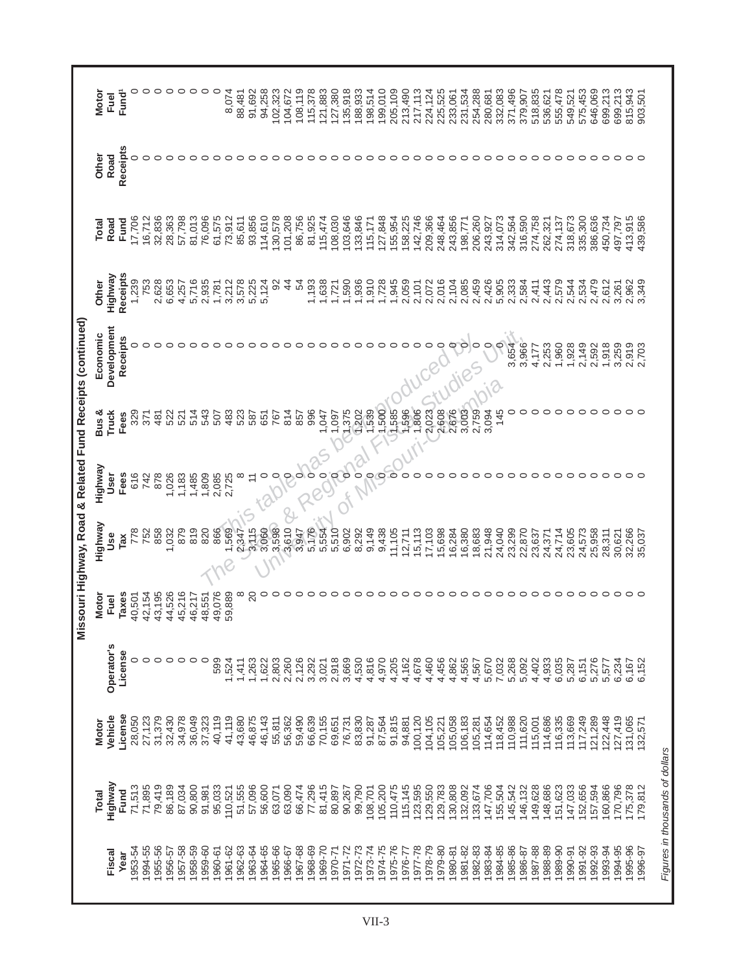|                                                            | <b>Motor</b> | Fuel         | Fund <sup>1</sup> | c       | $\circ$ | $\circ$ |                                 | ○       | ○       | ○       | ○                | 8,074   | 88,481   | 91,692         | 94,258  | 102,323 | 104,672       | 108,119 | 115,378 | 121,883                 | 127,380 | 135,918 | 188,933 | 198,514 | 199,010 | 205,109 | 213,490 | 217,113                             | 224,124 | 225,525 | 233,061 | 231,534 | 254,288 | 280,681       | 332,083 | 371,496 | 379,907 | 518,835 | 536,621 | 555,478 | 549,521 | 575,453 | 646,069 | 699,213 | 699,213            | 815,943 | 903,501 |
|------------------------------------------------------------|--------------|--------------|-------------------|---------|---------|---------|---------------------------------|---------|---------|---------|------------------|---------|----------|----------------|---------|---------|---------------|---------|---------|-------------------------|---------|---------|---------|---------|---------|---------|---------|-------------------------------------|---------|---------|---------|---------|---------|---------------|---------|---------|---------|---------|---------|---------|---------|---------|---------|---------|--------------------|---------|---------|
|                                                            | Other        | Road         | Receipts          | 0       | $\circ$ | $\circ$ | $\circ$                         | $\circ$ | $\circ$ | $\circ$ | $\circ$          | $\circ$ | $\circ$  | $\circ$        | $\circ$ | $\circ$ | $\circ$       | $\circ$ | $\circ$ | $\circ$                 |         |         |         |         |         |         |         |                                     |         |         |         |         |         |               |         |         |         |         |         |         |         |         |         |         |                    |         |         |
|                                                            | Total        | Road         | Fund              | 17,706  | 16,712  | 32,836  | 28,363                          | 57,798  | 81,013  | 76,096  | 61,575           | 73,912  | 85,611   | 93,856         | 114,610 | 130,578 | 101,208       | 86,756  | 81,925  | 115,474                 | 108,030 | 103,646 | 133,846 | 115,171 | 127,848 | 155,954 | 158,225 | 142,746                             | 209,366 | 248,464 | 243,856 | 198,771 | 206,260 | 243,927       | 314,073 | 342,564 | 316,590 | 274,758 | 262,321 | 274,137 | 318,673 | 335,300 | 386,636 | 450,734 | 497,797            | 413,915 | 439,586 |
|                                                            | Other        | Highway      | Receipts          | 1,239   | 753     | 2,628   | 6,653                           | 4,257   | 5,716   | 2,935   | 1,781            | 3,212   | 3,578    | 5,225<br>5,124 |         | 92      | $\frac{4}{4}$ | 54      | 1,193   | 1,638                   | 1,721   | 1,590   | 1,936   | 1,910   | 1,728   | 1,945   | 2,059   | 2,101                               | 2,072   | 2,016   | 2,104   | 2,085   | 2,459   | 2,426         | 5,905   | 2,333   | 2,584   | 2,411   | 2,443   | 2,579   | 2,544   | 2,534   | 2,479   | 2,612   | 3,261              | 2,962   | 3,349   |
| Missouri Highway, Road & Related Fund Receipts (continued) | Economic     | Development  | Receipts          | 0       | $\circ$ | $\circ$ | $\circ$                         | $\circ$ | ○       | っ       | $\circ$          | $\circ$ | $\circ$  | $\circ$        | $\circ$ | $\circ$ | ○             |         | $\circ$ | $\circ$                 | $\circ$ | $\circ$ | $\circ$ | $\circ$ |         |         | $\circ$ | ○                                   | $\circ$ |         | $\circ$ | $\circ$ | $\circ$ | $\circ \circ$ |         | 3,654   | 3,966   | 4,177   | 2,253   | 1,960   | 1,928   | 2,149   | 2,592   | 1,918   | 3,259              | 2,919   | 2,703   |
|                                                            | Bus &        | <b>Truck</b> | Fees              | 329     | 371     | 481     | 522                             | 521     | 514     | 543     | 507              | 483     | 523      | 587            | 651     | 767     | 814           | 857     | 996     | 1,047<br>S              | 1,097   | 1,375   | 1,202   | 1,539   | 1,500   | 1,585   |         | 1,596<br>1,806                      | 2,023   | 2,608   | 2,676   | 3,003   | 2,759   | 3,094         | 145     | 0       | $\circ$ | $\circ$ | $\circ$ | $\circ$ | $\circ$ | $\circ$ | $\circ$ | $\circ$ | $\circ$            | $\circ$ |         |
|                                                            | Highway      | User         | Fees              | 616     | 742     | 878     | 1,026                           | 1,183   | 1,485   | 1,809   | 2,085            | 2,725   | ∞        | $\overline{1}$ | 0       | 0       | P             | $\circ$ |         | $\overline{\mathsf{C}}$ |         | polo    |         | $\circ$ | $\circ$ | ္တ      | $\circ$ |                                     |         |         |         |         |         |               |         |         |         | $\circ$ | $\circ$ | $\circ$ | $\circ$ | $\circ$ | $\circ$ | $\circ$ | ○                  | $\circ$ |         |
|                                                            | Highway      | Use          | Tax               | 778     | 752     | 858     | 1,032                           | 879     | 819     | 820     | 866              | 1,569   | 2,347    | 3,115          | 3,060   | 3,598   | 3,610         | 3,947   | 5,176   | 5,554                   | 5,510   | 6,902   | 8,292   | 9,149   | 9,438   |         |         | $11, 105$<br>$12, 711$<br>$15, 113$ | 17,103  | 15,698  | 16,284  | 16,380  | 18,683  | 21,948        | 24,040  | 23,299  | 22,870  | 23,637  | 24,371  | 24,714  | 23,605  | 24,573  | 25,958  | 28,311  | 30,621             | 32,266  | 35,037  |
|                                                            | <b>Motor</b> | Fuel         | <b>Taxes</b>      | 40,501  | 42,154  | 43,195  | 44,526                          | 45,216  | 46,217  | 48,551  | 49,076           | 59,889  | $\infty$ | $\overline{c}$ | $\circ$ | ○       |               |         | ○       | っ                       | $\circ$ | $\circ$ | $\circ$ | ○       | $\circ$ | $\circ$ | $\circ$ | $\circ$                             |         |         |         |         |         |               |         |         |         |         |         |         |         |         |         |         | 000000000000000000 |         |         |
|                                                            |              | Operator's   | License           | $\circ$ | $\circ$ | $\circ$ | $\circ \circ \circ \circ \circ$ |         |         |         | 599              | 1,524   | 1,411    | 1,263          | 1,622   | 2,803   | 2,260         | 2,126   | 3,292   | 3,021                   | 2,918   | 3,669   | 4,530   | 4,816   | 4,970   | 4,205   | 4,162   | 4,678                               | 4,460   | 4,456   | 4,862   | 4,565   | 4,567   | 5,670         | 7,032   | 5,268   | 5,092   | 4,402   | 4,933   | 6,035   | 5,287   | 6,151   | 5,276   | 5,577   | 6,234              | 6,167   | 6,152   |
|                                                            | <b>Motor</b> | Vehicle      | License           | 28,050  | 27,123  | 31,379  | 32,430                          | 34,978  | 36,049  | 37,323  | 40,119           | 41,119  | 43,680   | 46,875         | 46,143  | 55,811  | 56,362        | 59,490  | 66,639  | 70,155                  | 69,651  | 76,731  | 83,830  | 91,287  | 87,564  | 91,815  | 94,881  | 100,120                             | 104,105 | 105,221 | 105,058 | 106,183 | 105,281 | 114,654       | 118,452 | 110,988 | 111,620 | 115,001 | 114,686 | 116,335 | 113,669 | 117,249 | 121,289 | 122,448 | 127,419            | 131,065 | 132,571 |
|                                                            | <b>Total</b> | Highway      | Fund              | 71,513  | 71,895  | 79,419  | 86,189                          | 87,034  | 90,800  |         | 91,981<br>95,033 | 110,521 | 51,555   | 57,096         | 56,600  | 63,071  | 63,090        | 66,474  | 77,296  | 81,415                  | 80,897  | 90,267  | 99,790  | 108,701 | 105,200 | 110,475 | 115,145 | 123,595                             | 129,550 | 129,783 | 130,808 | 132,092 | 133,674 | 147,706       | 155,504 | 145,542 | 146,132 | 149,628 | 148,686 | 151,623 | 147,033 | 152,656 | 157,594 | 160,866 | 170,796            | 175,378 | 179,812 |
|                                                            |              | Fiscal       | Year              | 1953-54 | 1994-55 | 1955-56 | 1956-57                         | 1957-58 | 1958-59 | 1959-60 | 1960-61          | 1961-62 | 1962-63  | 1963-64        | 1964-65 | 1965-66 | 1966-67       | 1967-68 | 1968-69 | 1969-70                 | 1970-71 | 1971-72 | 1972-73 | 1973-74 | 1974-75 | 1975-76 | 1976-77 | 1977-78                             | 1978-79 | 1979-80 | 1980-81 | 1981-82 | 1982-83 | 1983-84       | 1984-85 | 1985-86 | 1986-87 | 1987-88 | 1988-89 | 1989-90 | 1990-91 | 1991-92 | 1992-93 | 1993-94 | 1994-95            | 1995-96 | 1996-97 |